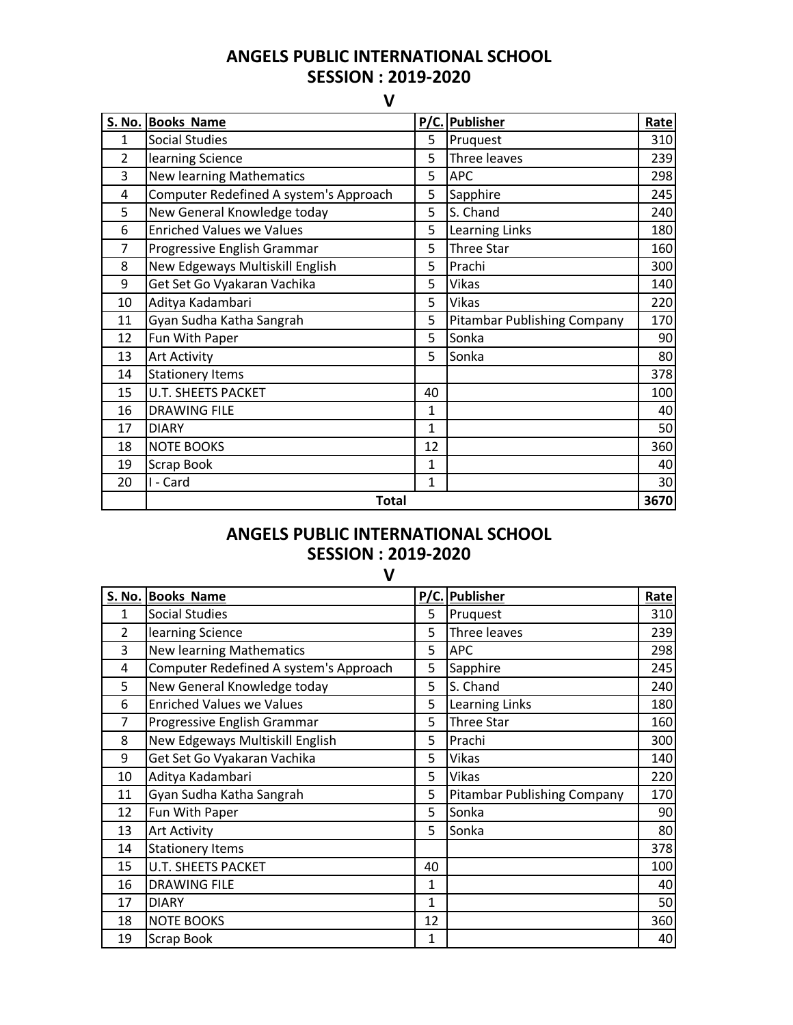## **ANGELS PUBLIC INTERNATIONAL SCHOOL SESSION : 2019-2020**

**V**

|                | S. No. Books Name                      |              | P/C. Publisher                     | Rate |
|----------------|----------------------------------------|--------------|------------------------------------|------|
| 1              | <b>Social Studies</b>                  | 5            | Pruquest                           | 310  |
| $\overline{2}$ | learning Science                       | 5            | Three leaves                       | 239  |
| 3              | <b>New learning Mathematics</b>        | 5            | <b>APC</b>                         | 298  |
| 4              | Computer Redefined A system's Approach | 5            | Sapphire                           | 245  |
| 5              | New General Knowledge today            | 5            | S. Chand                           | 240  |
| 6              | <b>Enriched Values we Values</b>       | 5            | Learning Links                     | 180  |
| 7              | Progressive English Grammar            | 5            | <b>Three Star</b>                  | 160  |
| 8              | New Edgeways Multiskill English        | 5            | Prachi                             | 300  |
| 9              | Get Set Go Vyakaran Vachika            | 5            | Vikas                              | 140  |
| 10             | Aditya Kadambari                       | 5            | Vikas                              | 220  |
| 11             | Gyan Sudha Katha Sangrah               | 5            | <b>Pitambar Publishing Company</b> | 170  |
| 12             | Fun With Paper                         | 5            | Sonka                              | 90   |
| 13             | <b>Art Activity</b>                    | 5            | Sonka                              | 80   |
| 14             | <b>Stationery Items</b>                |              |                                    | 378  |
| 15             | <b>U.T. SHEETS PACKET</b>              | 40           |                                    | 100  |
| 16             | <b>DRAWING FILE</b>                    | $\mathbf{1}$ |                                    | 40   |
| 17             | <b>DIARY</b>                           | $\mathbf{1}$ |                                    | 50   |
| 18             | <b>NOTE BOOKS</b>                      | 12           |                                    | 360  |
| 19             | Scrap Book                             | 1            |                                    | 40   |
| 20             | I - Card                               | $\mathbf{1}$ |                                    | 30   |
|                | <b>Total</b>                           |              |                                    | 3670 |

## **ANGELS PUBLIC INTERNATIONAL SCHOOL SESSION : 2019-2020**

**V**

|                | S. No. Books Name                      |              | P/C. Publisher              | Rate |
|----------------|----------------------------------------|--------------|-----------------------------|------|
| 1              | <b>Social Studies</b>                  | 5            | Pruquest                    | 310  |
| $\overline{2}$ | learning Science                       | 5            | Three leaves                | 239  |
| 3              | <b>New learning Mathematics</b>        | 5            | <b>APC</b>                  | 298  |
| 4              | Computer Redefined A system's Approach | 5            | Sapphire                    | 245  |
| 5              | New General Knowledge today            | 5            | S. Chand                    | 240  |
| 6              | <b>Enriched Values we Values</b>       | 5            | Learning Links              | 180  |
| 7              | Progressive English Grammar            | 5            | <b>Three Star</b>           | 160  |
| 8              | New Edgeways Multiskill English        | 5            | Prachi                      | 300  |
| 9              | Get Set Go Vyakaran Vachika            | 5            | <b>Vikas</b>                | 140  |
| 10             | Aditya Kadambari                       | 5            | <b>Vikas</b>                | 220  |
| 11             | Gyan Sudha Katha Sangrah               | 5            | Pitambar Publishing Company | 170  |
| 12             | Fun With Paper                         | 5            | Sonka                       | 90   |
| 13             | <b>Art Activity</b>                    | 5            | Sonka                       | 80   |
| 14             | <b>Stationery Items</b>                |              |                             | 378  |
| 15             | <b>U.T. SHEETS PACKET</b>              | 40           |                             | 100  |
| 16             | <b>DRAWING FILE</b>                    | $\mathbf{1}$ |                             | 40   |
| 17             | <b>DIARY</b>                           | 1            |                             | 50   |
| 18             | <b>NOTE BOOKS</b>                      | 12           |                             | 360  |
| 19             | Scrap Book                             | $\mathbf{1}$ |                             | 40   |